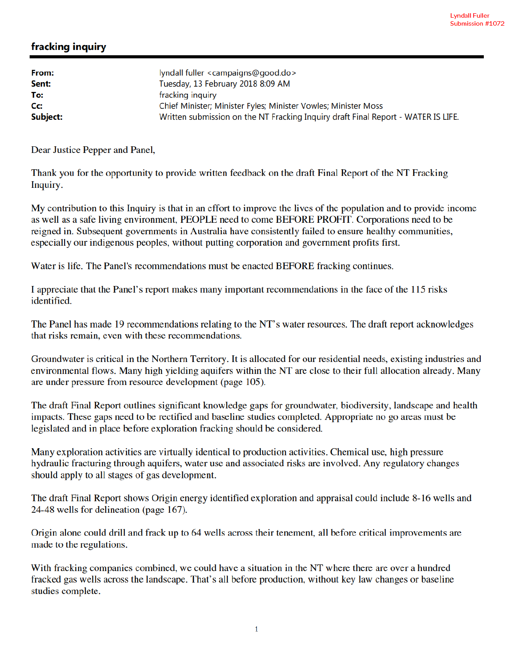## fracking inquiry

| From:<br>Sent: | lyndall fuller <campaigns@good.do><br/>Tuesday, 13 February 2018 8:09 AM</campaigns@good.do> |
|----------------|----------------------------------------------------------------------------------------------|
| To:            | fracking inquiry                                                                             |
| Cc:            | Chief Minister; Minister Fyles; Minister Vowles; Minister Moss                               |
| Subject:       | Written submission on the NT Fracking Inquiry draft Final Report - WATER IS LIFE.            |

Dear Justice Pepper and Panel,

Thank you for the opportunity to provide written feedback on the draft Final Report of the NT Fracking Inquiry.

My contribution to this Inquiry is that in an effort to improve the lives of the population and to provide income as well as a safe living environment, PEOPLE need to come BEFORE PROFIT. Corporations need to be reigned in. Subsequent governments in Australia have consistently failed to ensure healthy communities, especially our indigenous peoples, without putting corporation and government profits first.

Water is life. The Panel's recommendations must be enacted BEFORE fracking continues.

I appreciate that the Panel's report makes many important recommendations in the face of the 115 risks identified.

The Panel has made 19 recommendations relating to the NT's water resources. The draft report acknowledges that risks remain, even with these recommendations.

Groundwater is critical in the Northern Territory. It is allocated for our residential needs, existing industries and environmental flows. Many high yielding aquifers within the NT are close to their full allocation already. Many are under pressure from resource development (page 105).

The draft Final Report outlines significant knowledge gaps for groundwater, biodiversity, landscape and health impacts. These gaps need to be rectified and baseline studies completed. Appropriate no go areas must be legislated and in place before exploration fracking should be considered.

Many exploration activities are virtually identical to production activities. Chemical use, high pressure hydraulic fracturing through aquifers, water use and associated risks are involved. Any regulatory changes should apply to all stages of gas development.

The draft Final Report shows Origin energy identified exploration and appraisal could include 8-16 wells and 24-48 wells for delineation (page 167).

Origin alone could drill and frack up to 64 wells across their tenement, all before critical improvements are made to the regulations.

With fracking companies combined, we could have a situation in the NT where there are over a hundred fracked gas wells across the landscape. That's all before production, without key law changes or baseline studies complete.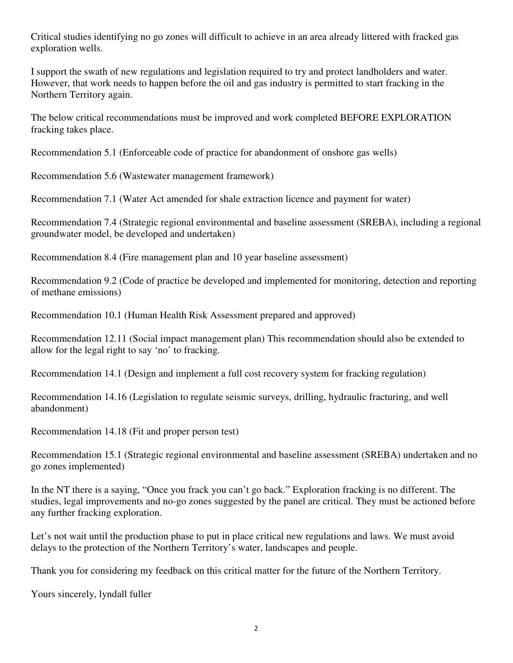Critical studies identifying no go zones will difficult to achieve in an area already littered with fracked gas exploration wells.

I support the swath of new regulations and legislation required to try and protect landholders and water. However, that work needs to happen before the oil and gas industry is permitted to start fracking in the Northern Territory again.

The below critical recommendations must be improved and work completed BEFORE EXPLORATION fracking takes place.

Recommendation 5.1 (Enforceable code of practice for abandonment of onshore gas wells)

Recommendation 5.6 (Wastewater management framework)

Recommendation 7.1 (Water Act amended for shale extraction licence and payment for water)

Recommendation 7.4 (Strategic regional environmental and baseline assessment (SREBA), including a regional groundwater model, be developed and undertaken)

Recommendation 8.4 (Fire management plan and 10 year baseline assessment)

Recommendation 9.2 (Code of practice be developed and implemented for monitoring, detection and reporting of methane emissions)

Recommendation 10.1 (Human Health Risk Assessment prepared and approved)

Recommendation 12.11 (Social impact management plan) This recommendation should also be extended to allow for the legal right to say 'no' to fracking.

Recommendation 14.1 (Design and implement a full cost recovery system for fracking regulation)

Recommendation 14.16 (Legislation to regulate seismic surveys, drilling, hydraulic fracturing, and well abandonment)

Recommendation 14.18 (Fit and proper person test)

Recommendation 15.1 (Strategic regional environmental and baseline assessment (SREBA) undertaken and no go zones implemented)

In the NT there is a saying, "Once you frack you can't go back." Exploration fracking is no different. The studies, legal improvements and no-go zones suggested by the panel are critical. They must be actioned before any further fracking exploration.

Let's not wait until the production phase to put in place critical new regulations and laws. We must avoid delays to the protection of the Northern Territory's water, landscapes and people.

Thank you for considering my feedback on this critical matter for the future of the Northern Territory.

Yours sincerely, lyndall fuller